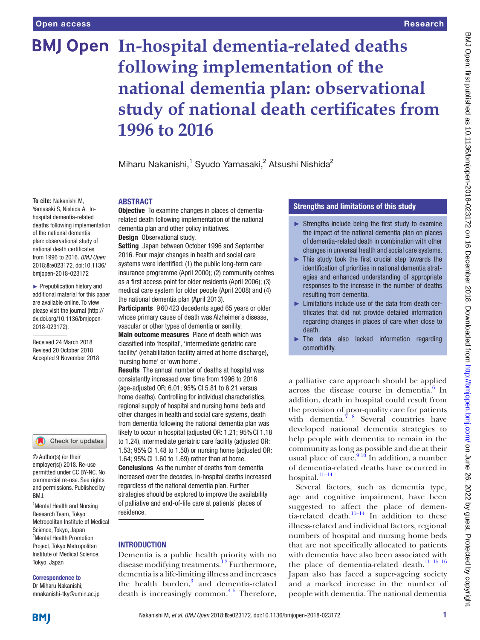**To cite:** Nakanishi M, Yamasaki S, Nishida A. Inhospital dementia-related deaths following implementation of the national dementia plan: observational study of national death certificates from 1996 to 2016. *BMJ Open* 2018;8:e023172. doi:10.1136/ bmjopen-2018-023172 ► Prepublication history and additional material for this paper are available online. To view please visit the journal ([http://](http://dx.doi.org/10.1136/bmjopen-2018-023172) [dx.doi.org/10.1136/bmjopen-](http://dx.doi.org/10.1136/bmjopen-2018-023172)

[2018-023172\)](http://dx.doi.org/10.1136/bmjopen-2018-023172).

Received 24 March 2018 Revised 20 October 2018 Accepted 9 November 2018

<sup>1</sup> Mental Health and Nursing Research Team, Tokyo Metropolitan Institute of Medical Science, Tokyo, Japan <sup>2</sup> Mental Health Promotion Project, Tokyo Metropolitan Institute of Medical Science,

© Author(s) (or their employer(s)) 2018. Re-use permitted under CC BY-NC. No commercial re-use. See rights and permissions. Published by

Check for updates

# **BMJ Open In-hospital dementia-related deaths following implementation of the national dementia plan: observational study of national death certificates from 1996 to 2016**

Miharu Nakanishi,<sup>1</sup> Syudo Yamasaki,<sup>2</sup> Atsushi Nishida<sup>2</sup>

### **ABSTRACT**

**Objective** To examine changes in places of dementiarelated death following implementation of the national dementia plan and other policy initiatives. Design Observational study.

Setting Japan between October 1996 and September 2016. Four major changes in health and social care systems were identified: (1) the public long-term care insurance programme (April 2000); (2) community centres as a first access point for older residents (April 2006); (3) medical care system for older people (April 2008) and (4) the national dementia plan (April 2013).

Participants 960 423 decedents aged 65 years or older whose primary cause of death was Alzheimer's disease, vascular or other types of dementia or senility. Main outcome measures Place of death which was

classified into 'hospital', 'intermediate geriatric care facility' (rehabilitation facility aimed at home discharge), 'nursing home' or 'own home'.

Results The annual number of deaths at hospital was consistently increased over time from 1996 to 2016 (age-adjusted OR: 6.01; 95% CI 5.81 to 6.21 versus home deaths). Controlling for individual characteristics, regional supply of hospital and nursing home beds and other changes in health and social care systems, death from dementia following the national dementia plan was likely to occur in hospital (adjusted OR: 1.21; 95% CI 1.18 to 1.24), intermediate geriatric care facility (adjusted OR: 1.53; 95%CI 1.48 to 1.58) or nursing home (adjusted OR: 1.64; 95%CI 1.60 to 1.69) rather than at home. Conclusions As the number of deaths from dementia increased over the decades, in-hospital deaths increased regardless of the national dementia plan. Further strategies should be explored to improve the availability of palliative and end-of-life care at patients' places of residence.

### **INTRODUCTION**

Dementia is a public health priority with no disease modifying treatments.<sup>12</sup> Furthermore, dementia is a life-limiting illness and increases the health burden,<sup>[3](#page-7-1)</sup> and dementia-related death is increasingly common. $45$  Therefore,

### Strengths and limitations of this study

- $\triangleright$  Strengths include being the first study to examine the impact of the national dementia plan on places of dementia-related death in combination with other changes in universal health and social care systems.
- ► This study took the first crucial step towards the identification of priorities in national dementia strategies and enhanced understanding of appropriate responses to the increase in the number of deaths resulting from dementia.
- ► Limitations include use of the data from death certificates that did not provide detailed information regarding changes in places of care when close to death.
- ► The data also lacked information regarding comorbidity.

a palliative care approach should be applied across the disease course in dementia.<sup>[6](#page-7-3)</sup> In addition, death in hospital could result from the provision of poor-quality care for patients with dementia.<sup>7</sup> <sup>8</sup> Several countries have developed national dementia strategies to help people with dementia to remain in the community as long as possible and die at their usual place of care. $910$  In addition, a number of dementia-related deaths have occurred in hospital.<sup>11-14</sup>

Several factors, such as dementia type, age and cognitive impairment, have been suggested to affect the place of dementia-related death. $11-14$  In addition to these illness-related and individual factors, regional numbers of hospital and nursing home beds that are not specifically allocated to patients with dementia have also been associated with the place of dementia-related death.<sup>[11 15 16](#page-7-6)</sup> Japan also has faced a super-ageing society and a marked increase in the number of people with dementia. The national dementia

# mnakanishi-tky@umin.ac.jp

**BMI** 

Tokyo, Japan

BMJ.

Correspondence to Dr Miharu Nakanishi;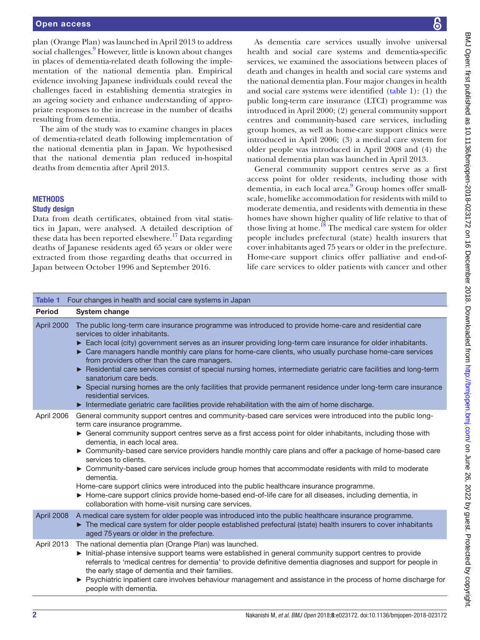plan (Orange Plan) was launched in April 2013 to address social challenges.<sup>9</sup> However, little is known about changes in places of dementia-related death following the implementation of the national dementia plan. Empirical evidence involving Japanese individuals could reveal the challenges faced in establishing dementia strategies in an ageing society and enhance understanding of appropriate responses to the increase in the number of deaths resulting from dementia.

The aim of the study was to examine changes in places of dementia-related death following implementation of the national dementia plan in Japan. We hypothesised that the national dementia plan reduced in-hospital deaths from dementia after April 2013.

#### **METHODS** Study design

Data from death certificates, obtained from vital statistics in Japan, were analysed. A detailed description of these data has been reported elsewhere.<sup>17</sup> Data regarding deaths of Japanese residents aged 65 years or older were extracted from those regarding deaths that occurred in Japan between October 1996 and September 2016.

As dementia care services usually involve universal health and social care systems and dementia-specific services, we examined the associations between places of death and changes in health and social care systems and the national dementia plan. Four major changes in health and social care systems were identified ([table](#page-1-0) 1): (1) the public long-term care insurance (LTCI) programme was introduced in April 2000; (2) general community support centres and community-based care services, including group homes, as well as home-care support clinics were introduced in April 2006; (3) a medical care system for older people was introduced in April 2008 and (4) the national dementia plan was launched in April 2013.

General community support centres serve as a first access point for older residents, including those with dementia, in each local area.<sup>[9](#page-7-5)</sup> Group homes offer smallscale, homelike accommodation for residents with mild to moderate dementia, and residents with dementia in these homes have shown higher quality of life relative to that of those living at home.<sup>18</sup> The medical care system for older people includes prefectural (state) health insurers that cover inhabitants aged 75 years or older in the prefecture. Home-care support clinics offer palliative and end-oflife care services to older patients with cancer and other

<span id="page-1-0"></span>

| Table 1<br>Four changes in health and social care systems in Japan |                                                                                                                                                                                                                                                                                                                                                                                                                                                                                                                                                                                                                                                                                                                                                                                                                          |  |  |  |
|--------------------------------------------------------------------|--------------------------------------------------------------------------------------------------------------------------------------------------------------------------------------------------------------------------------------------------------------------------------------------------------------------------------------------------------------------------------------------------------------------------------------------------------------------------------------------------------------------------------------------------------------------------------------------------------------------------------------------------------------------------------------------------------------------------------------------------------------------------------------------------------------------------|--|--|--|
| <b>Period</b>                                                      | <b>System change</b>                                                                                                                                                                                                                                                                                                                                                                                                                                                                                                                                                                                                                                                                                                                                                                                                     |  |  |  |
| April 2000                                                         | The public long-term care insurance programme was introduced to provide home-care and residential care<br>services to older inhabitants.<br>Each local (city) government serves as an insurer providing long-term care insurance for older inhabitants.<br>• Care managers handle monthly care plans for home-care clients, who usually purchase home-care services<br>from providers other than the care managers.<br>Residential care services consist of special nursing homes, intermediate geriatric care facilities and long-term<br>sanatorium care beds.<br>▶ Special nursing homes are the only facilities that provide permanent residence under long-term care insurance<br>residential services.<br>Intermediate geriatric care facilities provide rehabilitation with the aim of home discharge.            |  |  |  |
| April 2006                                                         | General community support centres and community-based care services were introduced into the public long-<br>term care insurance programme.<br>► General community support centres serve as a first access point for older inhabitants, including those with<br>dementia, in each local area.<br>• Community-based care service providers handle monthly care plans and offer a package of home-based care<br>services to clients.<br>> Community-based care services include group homes that accommodate residents with mild to moderate<br>dementia.<br>Home-care support clinics were introduced into the public healthcare insurance programme.<br>> Home-care support clinics provide home-based end-of-life care for all diseases, including dementia, in<br>collaboration with home-visit nursing care services. |  |  |  |
| April 2008                                                         | A medical care system for older people was introduced into the public healthcare insurance programme.<br>The medical care system for older people established prefectural (state) health insurers to cover inhabitants<br>aged 75 years or older in the prefecture.                                                                                                                                                                                                                                                                                                                                                                                                                                                                                                                                                      |  |  |  |
| April 2013                                                         | The national dementia plan (Orange Plan) was launched.<br>Initial-phase intensive support teams were established in general community support centres to provide<br>referrals to 'medical centres for dementia' to provide definitive dementia diagnoses and support for people in<br>the early stage of dementia and their families.<br>Psychiatric inpatient care involves behaviour management and assistance in the process of home discharge for<br>people with dementia.                                                                                                                                                                                                                                                                                                                                           |  |  |  |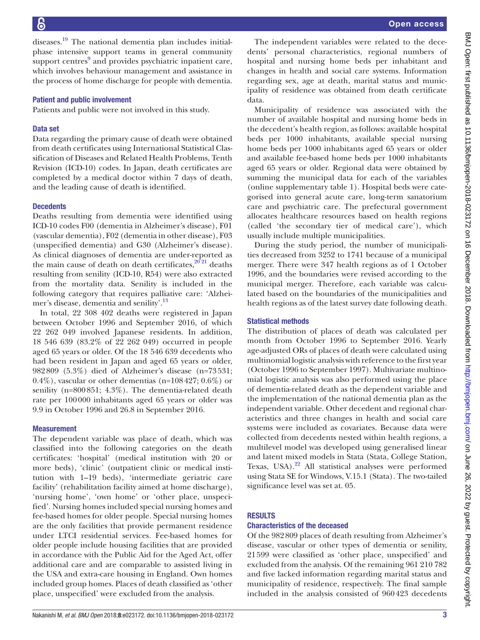Open access

16

diseases[.19](#page-7-9) The national dementia plan includes initialphase intensive support teams in general community support centres<sup>[9](#page-7-5)</sup> and provides psychiatric inpatient care, which involves behaviour management and assistance in the process of home discharge for people with dementia.

## Patient and public involvement

Patients and public were not involved in this study.

# Data set

Data regarding the primary cause of death were obtained from death certificates using International Statistical Classification of Diseases and Related Health Problems, Tenth Revision (ICD-10) codes. In Japan, death certificates are completed by a medical doctor within 7 days of death, and the leading cause of death is identified.

# **Decedents**

Deaths resulting from dementia were identified using ICD-10 codes F00 (dementia in Alzheimer's disease), F01 (vascular dementia), F02 (dementia in other disease), F03 (unspecified dementia) and G30 (Alzheimer's disease). As clinical diagnoses of dementia are under-reported as the main cause of death on death certificates,  $20^{21}$  deaths resulting from senility (ICD-10, R54) were also extracted from the mortality data. Senility is included in the following category that requires palliative care: 'Alzhei-mer's disease, dementia and senility'.<sup>[13](#page-7-11)</sup>

In total, 22 308 402 deaths were registered in Japan between October 1996 and September 2016, of which 22 262 049 involved Japanese residents. In addition, 18 546 639 (83.2% of 22 262 049) occurred in people aged 65 years or older. Of the 18 546 639 decedents who had been resident in Japan and aged 65 years or older, 982809 (5.3%) died of Alzheimer's disease (n=73531; 0.4%), vascular or other dementias (n=108427; 0.6%) or senility (n=800851; 4.3%). The dementia-related death rate per 100000 inhabitants aged 65 years or older was 9.9 in October 1996 and 26.8 in September 2016.

# **Measurement**

The dependent variable was place of death, which was classified into the following categories on the death certificates: 'hospital' (medical institution with 20 or more beds), 'clinic' (outpatient clinic or medical institution with 1–19 beds), 'intermediate geriatric care facility' (rehabilitation facility aimed at home discharge), 'nursing home', 'own home' or 'other place, unspecified'. Nursing homes included special nursing homes and fee-based homes for older people. Special nursing homes are the only facilities that provide permanent residence under LTCI residential services. Fee-based homes for older people include housing facilities that are provided in accordance with the Public Aid for the Aged Act, offer additional care and are comparable to assisted living in the USA and extra-care housing in England. Own homes included group homes. Places of death classified as 'other place, unspecified' were excluded from the analysis.

The independent variables were related to the decedents' personal characteristics, regional numbers of hospital and nursing home beds per inhabitant and changes in health and social care systems. Information regarding sex, age at death, marital status and municipality of residence was obtained from death certificate data.

Municipality of residence was associated with the number of available hospital and nursing home beds in the decedent's health region, as follows: available hospital beds per 1000 inhabitants, available special nursing home beds per 1000 inhabitants aged 65 years or older and available fee-based home beds per 1000 inhabitants aged 65 years or older. Regional data were obtained by summing the municipal data for each of the variables (online [supplementary table 1](https://dx.doi.org/10.1136/bmjopen-2018-023172)). Hospital beds were categorised into general acute care, long-term sanatorium care and psychiatric care. The prefectural government allocates healthcare resources based on health regions (called 'the secondary tier of medical care'), which usually include multiple municipalities.

During the study period, the number of municipalities decreased from 3252 to 1741 because of a municipal merger. There were 347 health regions as of 1 October 1996, and the boundaries were revised according to the municipal merger. Therefore, each variable was calculated based on the boundaries of the municipalities and health regions as of the latest survey date following death.

# Statistical methods

The distribution of places of death was calculated per month from October 1996 to September 2016. Yearly age-adjusted ORs of places of death were calculated using multinomial logistic analysis with reference to the first year (October 1996 to September 1997). Multivariate multinomial logistic analysis was also performed using the place of dementia-related death as the dependent variable and the implementation of the national dementia plan as the independent variable. Other decedent and regional characteristics and three changes in health and social care systems were included as covariates. Because data were collected from decedents nested within health regions, a multilevel model was developed using generalised linear and latent mixed models in Stata (Stata, College Station, Texas, USA).<sup>22</sup> All statistical analyses were performed using Stata SE for Windows, V.15.1 (Stata). The two-tailed significance level was set at. 05.

# **RESULTS**

# Characteristics of the deceased

Of the 982809 places of death resulting from Alzheimer's disease, vascular or other types of dementia or senility, 21599 were classified as 'other place, unspecified' and excluded from the analysis. Of the remaining 961 210 782 and five lacked information regarding marital status and municipality of residence, respectively. The final sample included in the analysis consisted of 960423 decedents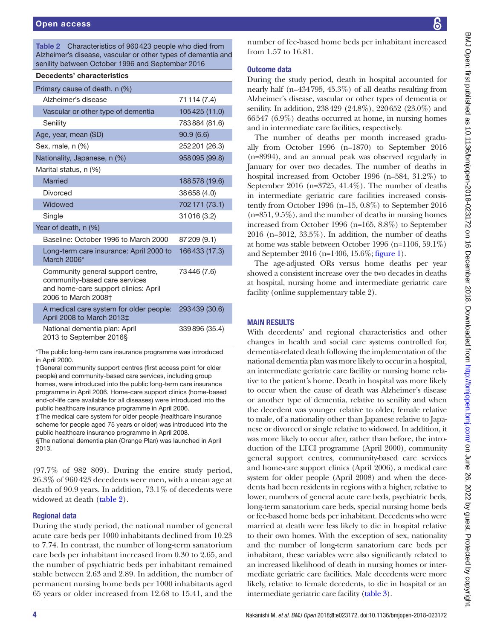<span id="page-3-0"></span>Table 2 Characteristics of 960423 people who died from Alzheimer's disease, vascular or other types of dementia and senility between October 1996 and September 2016

| Decedents' characteristics                                                                                                        |               |  |  |  |  |
|-----------------------------------------------------------------------------------------------------------------------------------|---------------|--|--|--|--|
| Primary cause of death, n (%)                                                                                                     |               |  |  |  |  |
| Alzheimer's disease                                                                                                               | 71 114 (7.4)  |  |  |  |  |
| Vascular or other type of dementia                                                                                                | 105425 (11.0) |  |  |  |  |
| Senility                                                                                                                          | 783884 (81.6) |  |  |  |  |
| Age, year, mean (SD)                                                                                                              | 90.9(6.6)     |  |  |  |  |
| Sex, male, $n$ $%$                                                                                                                | 252201 (26.3) |  |  |  |  |
| Nationality, Japanese, n (%)                                                                                                      | 958095 (99.8) |  |  |  |  |
| Marital status, n (%)                                                                                                             |               |  |  |  |  |
| Married                                                                                                                           | 188578 (19.6) |  |  |  |  |
| Divorced                                                                                                                          | 38658 (4.0)   |  |  |  |  |
| Widowed                                                                                                                           | 702171 (73.1) |  |  |  |  |
| Single                                                                                                                            | 31016 (3.2)   |  |  |  |  |
| Year of death, n (%)                                                                                                              |               |  |  |  |  |
| Baseline: October 1996 to March 2000                                                                                              | 87209 (9.1)   |  |  |  |  |
| Long-term care insurance: April 2000 to<br>March 2006*                                                                            | 166433 (17.3) |  |  |  |  |
| Community general support centre,<br>community-based care services<br>and home-care support clinics: April<br>2006 to March 2008+ | 73446 (7.6)   |  |  |  |  |
| A medical care system for older people:<br>April 2008 to March 2013‡                                                              | 293439 (30.6) |  |  |  |  |
| National dementia plan: April<br>2013 to September 2016§                                                                          | 339896 (35.4) |  |  |  |  |

\*The public long-term care insurance programme was introduced in April 2000.

†General community support centres (first access point for older people) and community-based care services, including group homes, were introduced into the public long-term care insurance programme in April 2006. Home-care support clinics (home-based end-of-life care available for all diseases) were introduced into the public healthcare insurance programme in April 2006.

‡The medical care system for older people (healthcare insurance scheme for people aged 75 years or older) was introduced into the public healthcare insurance programme in April 2008. §The national dementia plan (Orange Plan) was launched in April

2013.

(97.7% of 982 809). During the entire study period, 26.3% of 960423 decedents were men, with a mean age at death of 90.9 years. In addition, 73.1% of decedents were widowed at death [\(table](#page-3-0) 2).

#### Regional data

During the study period, the national number of general acute care beds per 1000 inhabitants declined from 10.23 to 7.74. In contrast, the number of long-term sanatorium care beds per inhabitant increased from 0.30 to 2.65, and the number of psychiatric beds per inhabitant remained stable between 2.63 and 2.89. In addition, the number of permanent nursing home beds per 1000 inhabitants aged 65 years or older increased from 12.68 to 15.41, and the

from 1.57 to 16.81.

During the study period, death in hospital accounted for nearly half (n=434795, 45.3%) of all deaths resulting from Alzheimer's disease, vascular or other types of dementia or senility. In addition, 238429 (24.8%), 220652 (23.0%) and 66547 (6.9%) deaths occurred at home, in nursing homes and in intermediate care facilities, respectively.

The number of deaths per month increased gradually from October 1996 (n=1870) to September 2016 (n=8994), and an annual peak was observed regularly in January for over two decades. The number of deaths in hospital increased from October 1996 (n=584, 31.2%) to September 2016 (n=3725, 41.4%). The number of deaths in intermediate geriatric care facilities increased consistently from October 1996 (n=15, 0.8%) to September 2016 (n=851, 9.5%), and the number of deaths in nursing homes increased from October 1996 (n=165, 8.8%) to September 2016 (n=3012, 33.5%). In addition, the number of deaths at home was stable between October 1996 (n=1106, 59.1%) and September 2016 (n=1406, 15.6%; [figure](#page-4-0) 1).

The age-adjusted ORs versus home deaths per year showed a consistent increase over the two decades in deaths at hospital, nursing home and intermediate geriatric care facility (online [supplementary table 2](https://dx.doi.org/10.1136/bmjopen-2018-023172)).

# **MAIN RESULTS**

With decedents' and regional characteristics and other changes in health and social care systems controlled for, dementia-related death following the implementation of the national dementia plan was more likely to occur in a hospital, an intermediate geriatric care facility or nursing home relative to the patient's home. Death in hospital was more likely to occur when the cause of death was Alzheimer's disease or another type of dementia, relative to senility and when the decedent was younger relative to older, female relative to male, of a nationality other than Japanese relative to Japanese or divorced or single relative to widowed. In addition, it was more likely to occur after, rather than before, the introduction of the LTCI programme (April 2000), community general support centres, community-based care services and home-care support clinics (April 2006), a medical care system for older people (April 2008) and when the decedents had been residents in regions with a higher, relative to lower, numbers of general acute care beds, psychiatric beds, long-term sanatorium care beds, special nursing home beds or fee-based home beds per inhabitant. Decedents who were married at death were less likely to die in hospital relative to their own homes. With the exception of sex, nationality and the number of long-term sanatorium care beds per inhabitant, these variables were also significantly related to an increased likelihood of death in nursing homes or intermediate geriatric care facilities. Male decedents were more likely, relative to female decedents, to die in hospital or an intermediate geriatric care facility ([table](#page-5-0) 3).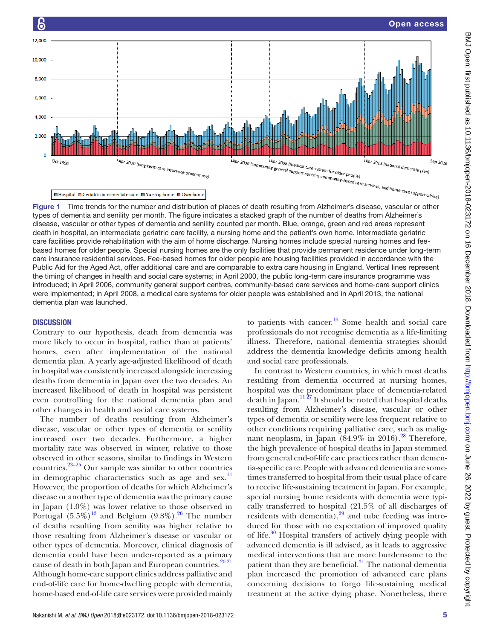

<span id="page-4-0"></span>types of dementia and senility per month. The figure indicates a stacked graph of the number of deaths from Alzheimer's disease, vascular or other types of dementia and senility counted per month. Blue, orange, green and red areas represent death in hospital, an intermediate geriatric care facility, a nursing home and the patient's own home. Intermediate geriatric care facilities provide rehabilitation with the aim of home discharge. Nursing homes include special nursing homes and feebased homes for older people. Special nursing homes are the only facilities that provide permanent residence under long-term care insurance residential services. Fee-based homes for older people are housing facilities provided in accordance with the Public Aid for the Aged Act, offer additional care and are comparable to extra care housing in England. Vertical lines represent the timing of changes in health and social care systems; in April 2000, the public long-term care insurance programme was introduced; in April 2006, community general support centres, community-based care services and home-care support clinics were implemented; in April 2008, a medical care systems for older people was established and in April 2013, the national dementia plan was launched.

#### **DISCUSSION**

Contrary to our hypothesis, death from dementia was more likely to occur in hospital, rather than at patients' homes, even after implementation of the national dementia plan. A yearly age-adjusted likelihood of death in hospital was consistently increased alongside increasing deaths from dementia in Japan over the two decades. An increased likelihood of death in hospital was persistent even controlling for the national dementia plan and other changes in health and social care systems.

The number of deaths resulting from Alzheimer's disease, vascular or other types of dementia or senility increased over two decades. Furthermore, a higher mortality rate was observed in winter, relative to those observed in other seasons, similar to findings in Western countries. $23-25$  Our sample was similar to other countries in demographic characteristics such as age and sex. $11$ However, the proportion of deaths for which Alzheimer's disease or another type of dementia was the primary cause in Japan (1.0%) was lower relative to those observed in Portugal  $(5.5\%)^{13}$  and Belgium  $(9.8\%)^{26}$ . The number of deaths resulting from senility was higher relative to those resulting from Alzheimer's disease or vascular or other types of dementia. Moreover, clinical diagnosis of dementia could have been under-reported as a primary cause of death in both Japan and European countries.<sup>2021</sup> Although home-care support clinics address palliative and end-of-life care for home-dwelling people with dementia, home-based end-of-life care services were provided mainly

to patients with cancer.<sup>[19](#page-7-9)</sup> Some health and social care professionals do not recognise dementia as a life-limiting illness. Therefore, national dementia strategies should address the dementia knowledge deficits among health and social care professionals.

In contrast to Western countries, in which most deaths resulting from dementia occurred at nursing homes, hospital was the predominant place of dementia-related death in Japan. $11\overline{27}$  It should be noted that hospital deaths resulting from Alzheimer's disease, vascular or other types of dementia or senility were less frequent relative to other conditions requiring palliative care, such as malignant neoplasm, in Japan  $(84.9\% \text{ in } 2016)$ .<sup>28</sup> Therefore, the high prevalence of hospital deaths in Japan stemmed from general end-of-life care practices rather than dementia-specific care. People with advanced dementia are sometimes transferred to hospital from their usual place of care to receive life-sustaining treatment in Japan. For example, special nursing home residents with dementia were typically transferred to hospital (21.5% of all discharges of residents with dementia), $29$  and tube feeding was introduced for those with no expectation of improved quality of life.[30](#page-7-17) Hospital transfers of actively dying people with advanced dementia is ill advised, as it leads to aggressive medical interventions that are more burdensome to the patient than they are beneficial. $31$  The national dementia plan increased the promotion of advanced care plans concerning decisions to forgo life-sustaining medical treatment at the active dying phase. Nonetheless, there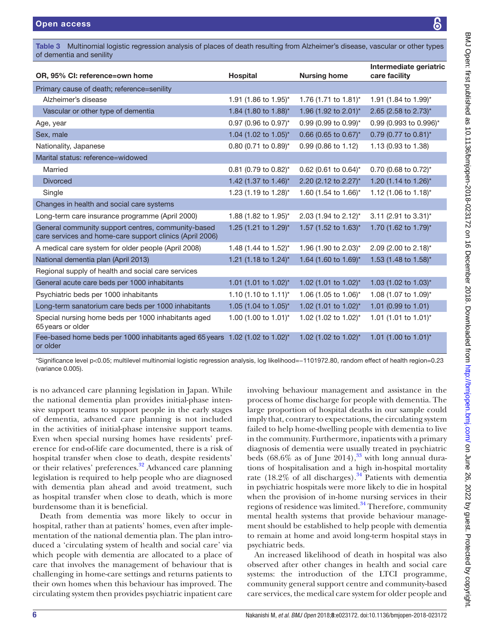<span id="page-5-0"></span>Table 3 Multinomial logistic regression analysis of places of death resulting from Alzheimer's disease, vascular or other types of dementia and senility

| OR, 95% CI: reference=own home                                                                                 | <b>Hospital</b>                  | <b>Nursing home</b>                | Intermediate geriatric<br>care facility |
|----------------------------------------------------------------------------------------------------------------|----------------------------------|------------------------------------|-----------------------------------------|
| Primary cause of death; reference=senility                                                                     |                                  |                                    |                                         |
| Alzheimer's disease                                                                                            | 1.91 (1.86 to 1.95)*             | 1.76 (1.71 to 1.81) <sup>*</sup>   | 1.91 (1.84 to 1.99)*                    |
| Vascular or other type of dementia                                                                             | 1.84 (1.80 to 1.88)*             | 1.96 (1.92 to 2.01)*               | 2.65 (2.58 to 2.73)*                    |
| Age, year                                                                                                      | 0.97 (0.96 to 0.97)*             | 0.99 (0.99 to 0.99)*               | 0.99 (0.993 to 0.996)*                  |
| Sex, male                                                                                                      | 1.04 (1.02 to 1.05)*             | $0.66$ (0.65 to 0.67) <sup>*</sup> | 0.79 (0.77 to 0.81)*                    |
| Nationality, Japanese                                                                                          | 0.80 (0.71 to 0.89)*             | 0.99 (0.86 to 1.12)                | 1.13 (0.93 to 1.38)                     |
| Marital status: reference=widowed                                                                              |                                  |                                    |                                         |
| Married                                                                                                        | 0.81 (0.79 to 0.82)*             | $0.62$ (0.61 to 0.64) <sup>*</sup> | 0.70 (0.68 to 0.72)*                    |
| <b>Divorced</b>                                                                                                | 1.42 (1.37 to 1.46) <sup>*</sup> | 2.20 (2.12 to 2.27)*               | 1.20 (1.14 to 1.26)*                    |
| Single                                                                                                         | 1.23 (1.19 to 1.28)*             | 1.60 (1.54 to 1.66)*               | 1.12 (1.06 to 1.18)*                    |
| Changes in health and social care systems                                                                      |                                  |                                    |                                         |
| Long-term care insurance programme (April 2000)                                                                | 1.88 (1.82 to 1.95)*             | 2.03 (1.94 to 2.12)*               | 3.11 (2.91 to 3.31)*                    |
| General community support centres, community-based<br>care services and home-care support clinics (April 2006) | 1.25 (1.21 to 1.29)*             | 1.57 (1.52 to 1.63)*               | 1.70 (1.62 to 1.79)*                    |
| A medical care system for older people (April 2008)                                                            | 1.48 (1.44 to 1.52) <sup>*</sup> | 1.96 (1.90 to 2.03)*               | 2.09 (2.00 to 2.18)*                    |
| National dementia plan (April 2013)                                                                            | 1.21 (1.18 to 1.24) <sup>*</sup> | 1.64 (1.60 to 1.69)*               | 1.53 (1.48 to 1.58)*                    |
| Regional supply of health and social care services                                                             |                                  |                                    |                                         |
| General acute care beds per 1000 inhabitants                                                                   | 1.01 (1.01 to 1.02)*             | 1.02 (1.01 to 1.02)*               | 1.03 (1.02 to 1.03)*                    |
| Psychiatric beds per 1000 inhabitants                                                                          | 1.10 (1.10 to 1.11) <sup>*</sup> | 1.06 (1.05 to 1.06)*               | 1.08 (1.07 to 1.09)*                    |
| Long-term sanatorium care beds per 1000 inhabitants                                                            | 1.05 (1.04 to 1.05)*             | 1.02 (1.01 to 1.02)*               | 1.01 (0.99 to 1.01)                     |
| Special nursing home beds per 1000 inhabitants aged<br>65 years or older                                       | 1.00 (1.00 to 1.01) <sup>*</sup> | 1.02 (1.02 to 1.02)*               | 1.01 (1.01 to 1.01) <sup>*</sup>        |
| Fee-based home beds per 1000 inhabitants aged 65 years 1.02 (1.02 to 1.02)*<br>or older                        |                                  | 1.02 (1.02 to 1.02)*               | 1.01 (1.00 to 1.01) <sup>*</sup>        |

\*Significance level p<0.05; multilevel multinomial logistic regression analysis, log likelihood=−1101972.80, random effect of health region=0.23 (variance 0.005).

is no advanced care planning legislation in Japan. While the national dementia plan provides initial-phase intensive support teams to support people in the early stages of dementia, advanced care planning is not included in the activities of initial-phase intensive support teams. Even when special nursing homes have residents' preference for end-of-life care documented, there is a risk of hospital transfer when close to death, despite residents' or their relatives' preferences.<sup>32</sup> Advanced care planning legislation is required to help people who are diagnosed with dementia plan ahead and avoid treatment, such as hospital transfer when close to death, which is more burdensome than it is beneficial.

Death from dementia was more likely to occur in hospital, rather than at patients' homes, even after implementation of the national dementia plan. The plan introduced a 'circulating system of health and social care' via which people with dementia are allocated to a place of care that involves the management of behaviour that is challenging in home-care settings and returns patients to their own homes when this behaviour has improved. The circulating system then provides psychiatric inpatient care

involving behaviour management and assistance in the process of home discharge for people with dementia. The large proportion of hospital deaths in our sample could imply that, contrary to expectations, the circulating system failed to help home-dwelling people with dementia to live in the community. Furthermore, inpatients with a primary diagnosis of dementia were usually treated in psychiatric beds  $(68.6\%$  as of June 2014),<sup>33</sup> with long annual durations of hospitalisation and a high in-hospital mortality rate (18.2% of all discharges).<sup>34</sup> Patients with dementia in psychiatric hospitals were more likely to die in hospital when the provision of in-home nursing services in their regions of residence was limited.<sup>34</sup> Therefore, community mental health systems that provide behaviour management should be established to help people with dementia to remain at home and avoid long-term hospital stays in psychiatric beds.

An increased likelihood of death in hospital was also observed after other changes in health and social care systems: the introduction of the LTCI programme, community general support centre and community-based care services, the medical care system for older people and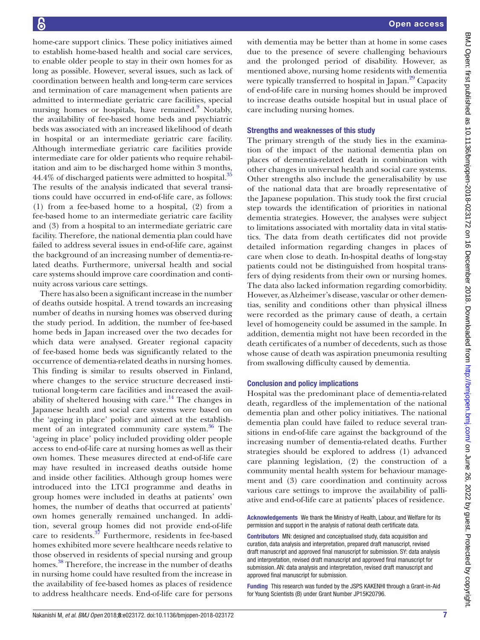home-care support clinics. These policy initiatives aimed to establish home-based health and social care services, to enable older people to stay in their own homes for as long as possible. However, several issues, such as lack of coordination between health and long-term care services and termination of care management when patients are admitted to intermediate geriatric care facilities, special nursing homes or hospitals, have remained.<sup>[9](#page-7-5)</sup> Notably, the availability of fee-based home beds and psychiatric beds was associated with an increased likelihood of death in hospital or an intermediate geriatric care facility. Although intermediate geriatric care facilities provide intermediate care for older patients who require rehabilitation and aim to be discharged home within 3 months, 44.4% of discharged patients were admitted to hospital.<sup>35</sup> The results of the analysis indicated that several transitions could have occurred in end-of-life care, as follows: (1) from a fee-based home to a hospital, (2) from a fee-based home to an intermediate geriatric care facility and (3) from a hospital to an intermediate geriatric care facility. Therefore, the national dementia plan could have failed to address several issues in end-of-life care, against the background of an increasing number of dementia-related deaths. Furthermore, universal health and social care systems should improve care coordination and continuity across various care settings.

There has also been a significant increase in the number of deaths outside hospital. A trend towards an increasing number of deaths in nursing homes was observed during the study period. In addition, the number of fee-based home beds in Japan increased over the two decades for which data were analysed. Greater regional capacity of fee-based home beds was significantly related to the occurrence of dementia-related deaths in nursing homes. This finding is similar to results observed in Finland, where changes to the service structure decreased institutional long-term care facilities and increased the availability of sheltered housing with care.<sup>14</sup> The changes in Japanese health and social care systems were based on the 'ageing in place' policy and aimed at the establish-ment of an integrated community care system.<sup>[36](#page-7-24)</sup> The 'ageing in place' policy included providing older people access to end-of-life care at nursing homes as well as their own homes. These measures directed at end-of-life care may have resulted in increased deaths outside home and inside other facilities. Although group homes were introduced into the LTCI programme and deaths in group homes were included in deaths at patients' own homes, the number of deaths that occurred at patients' own homes generally remained unchanged. In addition, several group homes did not provide end-of-life care to residents.<sup>[37](#page-7-25)</sup> Furthermore, residents in fee-based homes exhibited more severe healthcare needs relative to those observed in residents of special nursing and group homes.<sup>38</sup> Therefore, the increase in the number of deaths in nursing home could have resulted from the increase in the availability of fee-based homes as places of residence to address healthcare needs. End-of-life care for persons

with dementia may be better than at home in some cases due to the presence of severe challenging behaviours and the prolonged period of disability. However, as mentioned above, nursing home residents with dementia were typically transferred to hospital in Japan. $29$  Capacity of end-of-life care in nursing homes should be improved to increase deaths outside hospital but in usual place of care including nursing homes.

#### Strengths and weaknesses of this study

The primary strength of the study lies in the examination of the impact of the national dementia plan on places of dementia-related death in combination with other changes in universal health and social care systems. Other strengths also include the generalisability by use of the national data that are broadly representative of the Japanese population. This study took the first crucial step towards the identification of priorities in national dementia strategies. However, the analyses were subject to limitations associated with mortality data in vital statistics. The data from death certificates did not provide detailed information regarding changes in places of care when close to death. In-hospital deaths of long-stay patients could not be distinguished from hospital transfers of dying residents from their own or nursing homes. The data also lacked information regarding comorbidity. However, as Alzheimer's disease, vascular or other dementias, senility and conditions other than physical illness were recorded as the primary cause of death, a certain level of homogeneity could be assumed in the sample. In addition, dementia might not have been recorded in the death certificates of a number of decedents, such as those whose cause of death was aspiration pneumonia resulting from swallowing difficulty caused by dementia.

### Conclusion and policy implications

Hospital was the predominant place of dementia-related death, regardless of the implementation of the national dementia plan and other policy initiatives. The national dementia plan could have failed to reduce several transitions in end-of-life care against the background of the increasing number of dementia-related deaths. Further strategies should be explored to address (1) advanced care planning legislation, (2) the construction of a community mental health system for behaviour management and (3) care coordination and continuity across various care settings to improve the availability of palliative and end-of-life care at patients' places of residence.

Acknowledgements We thank the Ministry of Health, Labour, and Welfare for its permission and support in the analysis of national death certificate data.

Contributors MN: designed and conceptualised study, data acquisition and curation, data analysis and interpretation, prepared draft manuscript, revised draft manuscript and approved final manuscript for submission. SY: data analysis and interpretation, revised draft manuscript and approved final manuscript for submission. AN: data analysis and interpretation, revised draft manuscript and approved final manuscript for submission.

Funding This research was funded by the JSPS KAKENHI through a Grant-in-Aid for Young Scientists (B) under Grant Number JP15K20796.